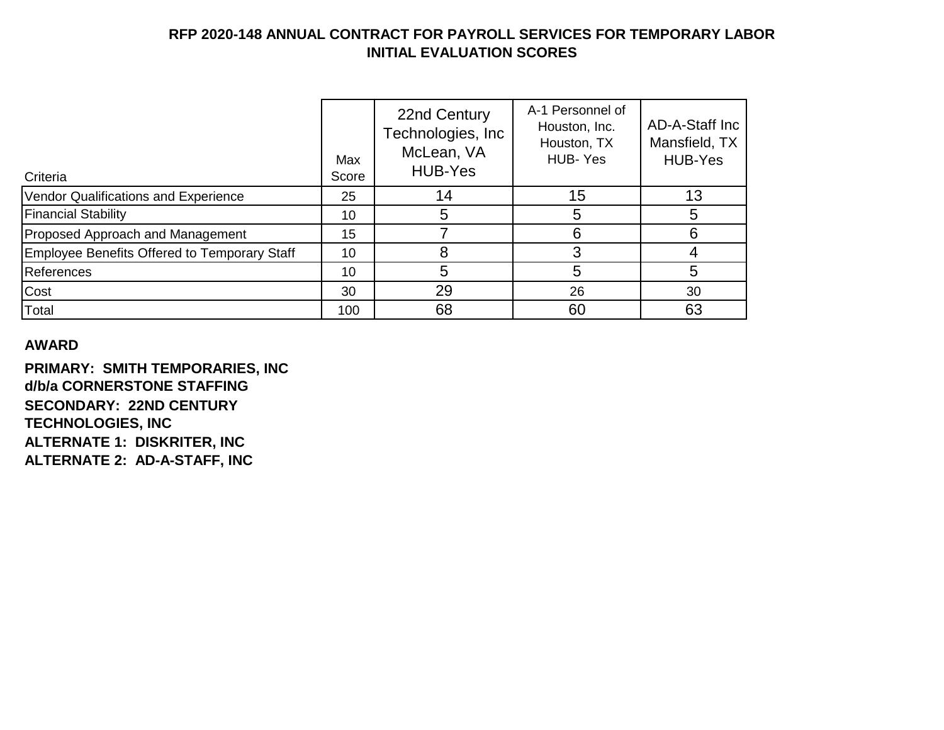| Criteria                                            | Max<br>Score | 22nd Century<br>Technologies, Inc.<br>McLean, VA<br><b>HUB-Yes</b> | A-1 Personnel of<br>Houston, Inc.<br>Houston, TX<br>HUB-Yes | AD-A-Staff Inc<br>Mansfield, TX<br><b>HUB-Yes</b> |
|-----------------------------------------------------|--------------|--------------------------------------------------------------------|-------------------------------------------------------------|---------------------------------------------------|
| Vendor Qualifications and Experience                | 25           | 14                                                                 | 15                                                          | 13                                                |
| <b>Financial Stability</b>                          | 10           | 5                                                                  |                                                             |                                                   |
| Proposed Approach and Management                    | 15           |                                                                    | 6                                                           | 6                                                 |
| <b>Employee Benefits Offered to Temporary Staff</b> | 10           | 8                                                                  |                                                             |                                                   |
| References                                          | 10           | 5                                                                  |                                                             | 5                                                 |
| Cost                                                | 30           | 29                                                                 | 26                                                          | 30                                                |
| Total                                               | 100          | 68                                                                 | 60                                                          | 63                                                |

### **AWARD**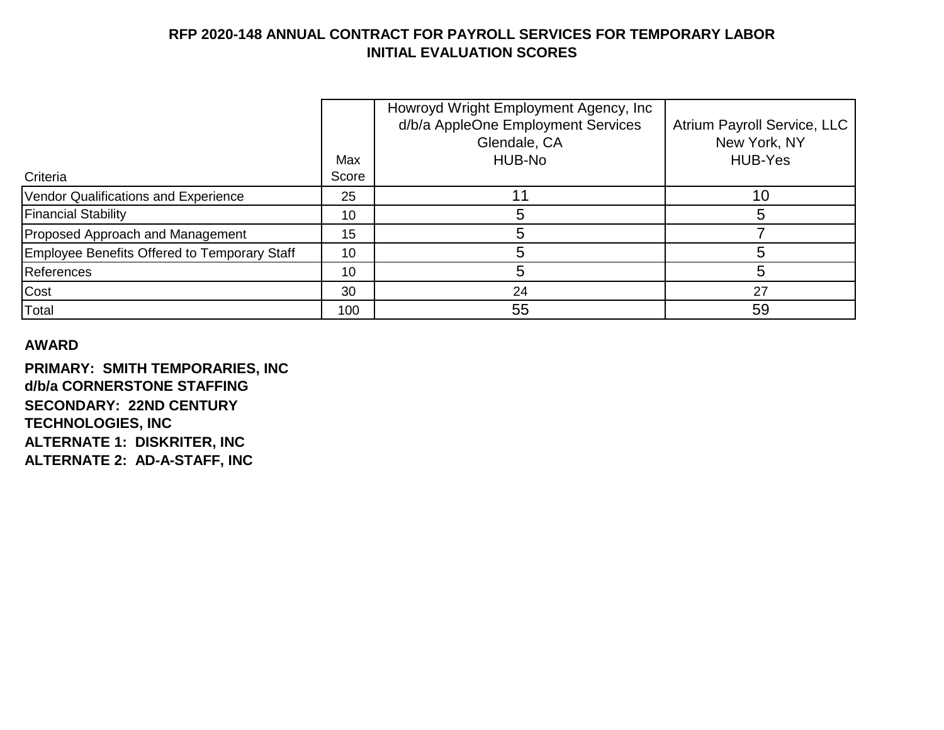|                                              |       | Howroyd Wright Employment Agency, Inc |                             |
|----------------------------------------------|-------|---------------------------------------|-----------------------------|
|                                              |       | d/b/a AppleOne Employment Services    | Atrium Payroll Service, LLC |
|                                              |       | Glendale, CA                          | New York, NY                |
|                                              | Max   | HUB-No                                | <b>HUB-Yes</b>              |
| Criteria                                     | Score |                                       |                             |
| Vendor Qualifications and Experience         | 25    |                                       | 10                          |
| <b>Financial Stability</b>                   | 10    | 5                                     |                             |
| Proposed Approach and Management             | 15    | 5                                     |                             |
| Employee Benefits Offered to Temporary Staff | 10    | 5                                     |                             |
| <b>References</b>                            | 10    | 5                                     |                             |
| Cost                                         | 30    | 24                                    | 27                          |
| Total                                        | 100   | 55                                    | 59                          |

### **AWARD**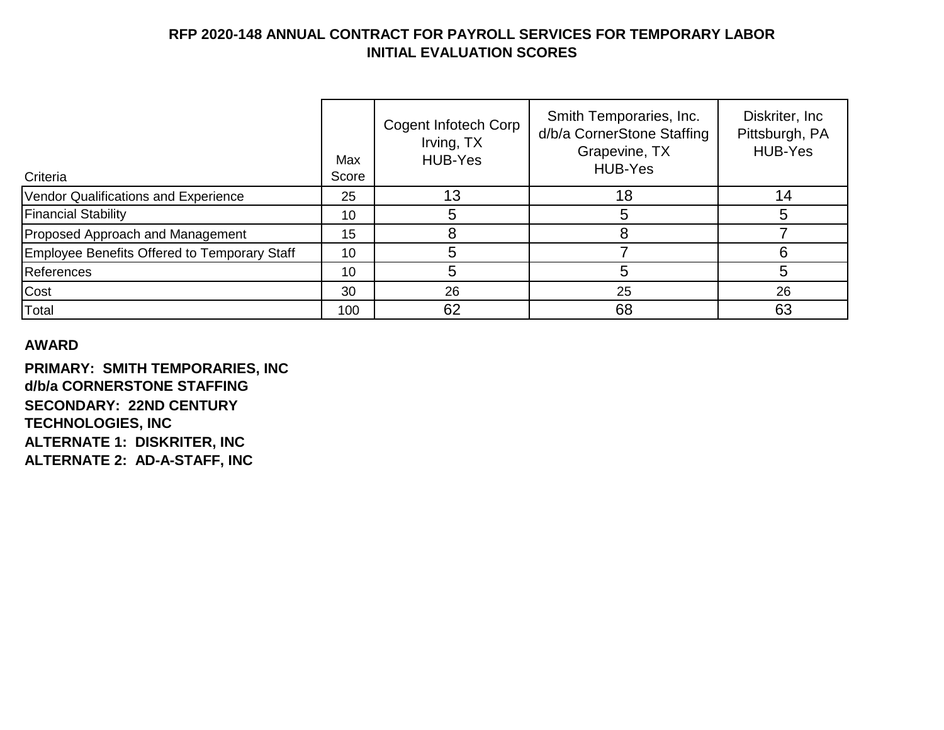| Criteria                                     | Max<br>Score | Cogent Infotech Corp<br>Irving, TX<br><b>HUB-Yes</b> | Smith Temporaries, Inc.<br>d/b/a CornerStone Staffing<br>Grapevine, TX<br><b>HUB-Yes</b> | Diskriter, Inc.<br>Pittsburgh, PA<br><b>HUB-Yes</b> |
|----------------------------------------------|--------------|------------------------------------------------------|------------------------------------------------------------------------------------------|-----------------------------------------------------|
| Vendor Qualifications and Experience         | 25           | 13                                                   | 18                                                                                       | 14                                                  |
| <b>Financial Stability</b>                   | 10           |                                                      | 5                                                                                        |                                                     |
| Proposed Approach and Management             | 15           |                                                      | 8                                                                                        |                                                     |
| Employee Benefits Offered to Temporary Staff | 10           |                                                      |                                                                                          |                                                     |
| <b>References</b>                            | 10           | 5                                                    | 5                                                                                        |                                                     |
| Cost                                         | 30           | 26                                                   | 25                                                                                       | 26                                                  |
| Total                                        | 100          | 62                                                   | 68                                                                                       | 63                                                  |

### **AWARD**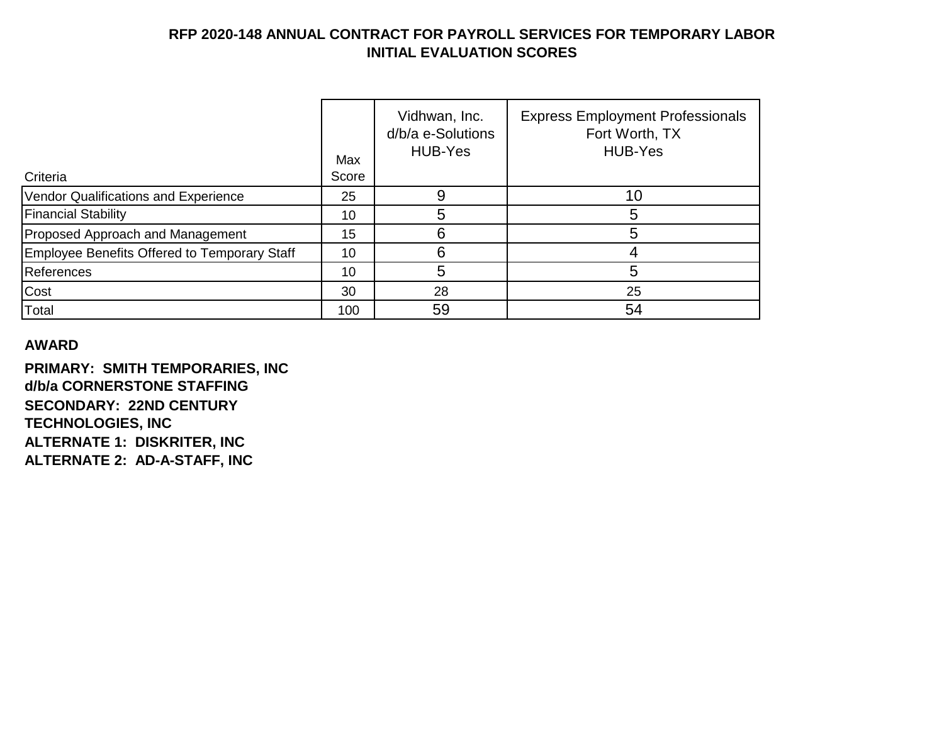| Criteria                                     | Max<br>Score | Vidhwan, Inc.<br>d/b/a e-Solutions<br>HUB-Yes | <b>Express Employment Professionals</b><br>Fort Worth, TX<br><b>HUB-Yes</b> |
|----------------------------------------------|--------------|-----------------------------------------------|-----------------------------------------------------------------------------|
|                                              |              |                                               |                                                                             |
| Vendor Qualifications and Experience         | 25           | 9                                             | 10                                                                          |
| <b>Financial Stability</b>                   | 10           | 5                                             | 5                                                                           |
| Proposed Approach and Management             | 15           | 6                                             | 5                                                                           |
| Employee Benefits Offered to Temporary Staff | 10           | 6                                             | 4                                                                           |
| <b>References</b>                            | 10           | 5                                             | 5                                                                           |
| Cost                                         | 30           | 28                                            | 25                                                                          |
| Total                                        | 100          | 59                                            | 54                                                                          |

#### **AWARD**